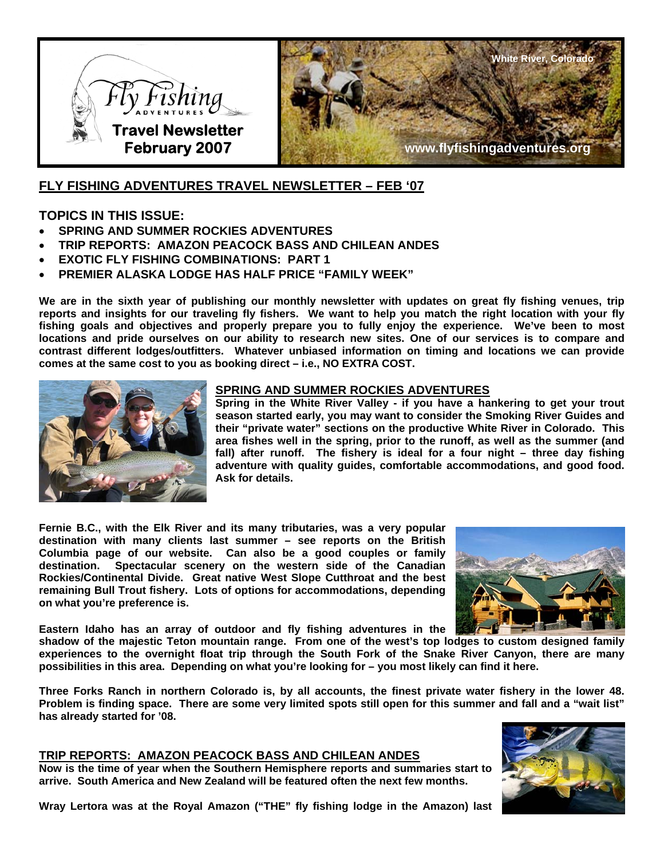



# **FLY FISHING ADVENTURES TRAVEL NEWSLETTER – FEB '07**

## **TOPICS IN THIS ISSUE:**

- **SPRING AND SUMMER ROCKIES ADVENTURES**
- **TRIP REPORTS: AMAZON PEACOCK BASS AND CHILEAN ANDES**
- **EXOTIC FLY FISHING COMBINATIONS: PART 1**
- **PREMIER ALASKA LODGE HAS HALF PRICE "FAMILY WEEK"**

**We are in the sixth year of publishing our monthly newsletter with updates on great fly fishing venues, trip reports and insights for our traveling fly fishers. We want to help you match the right location with your fly fishing goals and objectives and properly prepare you to fully enjoy the experience. We've been to most locations and pride ourselves on our ability to research new sites. One of our services is to compare and contrast different lodges/outfitters. Whatever unbiased information on timing and locations we can provide comes at the same cost to you as booking direct – i.e., NO EXTRA COST.** 



### **SPRING AND SUMMER ROCKIES ADVENTURES**

**Spring in the White River Valley - if you have a hankering to get your trout season started early, you may want to consider the Smoking River Guides and their "private water" sections on the productive White River in Colorado. This area fishes well in the spring, prior to the runoff, as well as the summer (and fall) after runoff. The fishery is ideal for a four night – three day fishing adventure with quality guides, comfortable accommodations, and good food. Ask for details.** 

**Fernie B.C., with the Elk River and its many tributaries, was a very popular destination with many clients last summer – see reports on the British Columbia page of our website. Can also be a good couples or family destination. Spectacular scenery on the western side of the Canadian Rockies/Continental Divide. Great native West Slope Cutthroat and the best remaining Bull Trout fishery. Lots of options for accommodations, depending on what you're preference is.** 



**Eastern Idaho has an array of outdoor and fly fishing adventures in the** 

**shadow of the majestic Teton mountain range. From one of the west's top lodges to custom designed family experiences to the overnight float trip through the South Fork of the Snake River Canyon, there are many possibilities in this area. Depending on what you're looking for – you most likely can find it here.** 

**Three Forks Ranch in northern Colorado is, by all accounts, the finest private water fishery in the lower 48. Problem is finding space. There are some very limited spots still open for this summer and fall and a "wait list" has already started for '08.** 

### **TRIP REPORTS: AMAZON PEACOCK BASS AND CHILEAN ANDES**

**Now is the time of year when the Southern Hemisphere reports and summaries start to arrive. South America and New Zealand will be featured often the next few months.** 

**Wray Lertora was at the Royal Amazon ("THE" fly fishing lodge in the Amazon) last** 

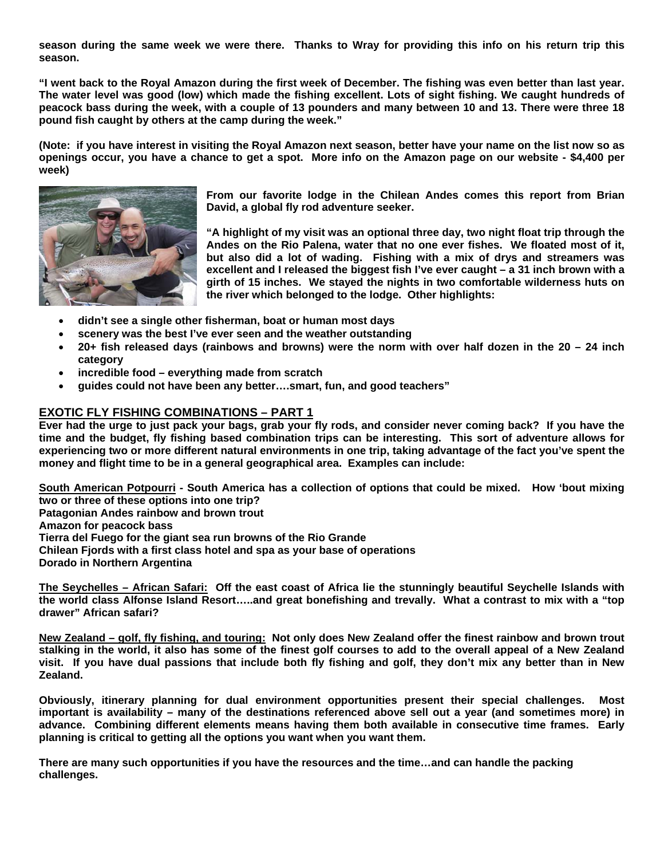**season during the same week we were there. Thanks to Wray for providing this info on his return trip this season.** 

**"I went back to the Royal Amazon during the first week of December. The fishing was even better than last year. The water level was good (low) which made the fishing excellent. Lots of sight fishing. We caught hundreds of peacock bass during the week, with a couple of 13 pounders and many between 10 and 13. There were three 18 pound fish caught by others at the camp during the week."** 

**(Note: if you have interest in visiting the Royal Amazon next season, better have your name on the list now so as openings occur, you have a chance to get a spot. More info on the Amazon page on our website - \$4,400 per week)** 



**From our favorite lodge in the Chilean Andes comes this report from Brian David, a global fly rod adventure seeker.** 

**"A highlight of my visit was an optional three day, two night float trip through the Andes on the Rio Palena, water that no one ever fishes. We floated most of it, but also did a lot of wading. Fishing with a mix of drys and streamers was excellent and I released the biggest fish I've ever caught – a 31 inch brown with a girth of 15 inches. We stayed the nights in two comfortable wilderness huts on the river which belonged to the lodge. Other highlights:** 

- **didn't see a single other fisherman, boat or human most days**
- **scenery was the best I've ever seen and the weather outstanding**
- **20+ fish released days (rainbows and browns) were the norm with over half dozen in the 20 24 inch category**
- **incredible food everything made from scratch**
- **guides could not have been any better….smart, fun, and good teachers"**

### **EXOTIC FLY FISHING COMBINATIONS – PART 1**

**Ever had the urge to just pack your bags, grab your fly rods, and consider never coming back? If you have the time and the budget, fly fishing based combination trips can be interesting. This sort of adventure allows for experiencing two or more different natural environments in one trip, taking advantage of the fact you've spent the money and flight time to be in a general geographical area. Examples can include:** 

**South American Potpourri - South America has a collection of options that could be mixed. How 'bout mixing two or three of these options into one trip?** 

**Patagonian Andes rainbow and brown trout** 

**Amazon for peacock bass** 

**Tierra del Fuego for the giant sea run browns of the Rio Grande** 

**Chilean Fjords with a first class hotel and spa as your base of operations** 

**Dorado in Northern Argentina** 

**The Seychelles – African Safari: Off the east coast of Africa lie the stunningly beautiful Seychelle Islands with the world class Alfonse Island Resort…..and great bonefishing and trevally. What a contrast to mix with a "top drawer" African safari?** 

**New Zealand – golf, fly fishing, and touring: Not only does New Zealand offer the finest rainbow and brown trout stalking in the world, it also has some of the finest golf courses to add to the overall appeal of a New Zealand visit. If you have dual passions that include both fly fishing and golf, they don't mix any better than in New Zealand.** 

**Obviously, itinerary planning for dual environment opportunities present their special challenges. Most important is availability – many of the destinations referenced above sell out a year (and sometimes more) in advance. Combining different elements means having them both available in consecutive time frames. Early planning is critical to getting all the options you want when you want them.** 

**There are many such opportunities if you have the resources and the time…and can handle the packing challenges.**